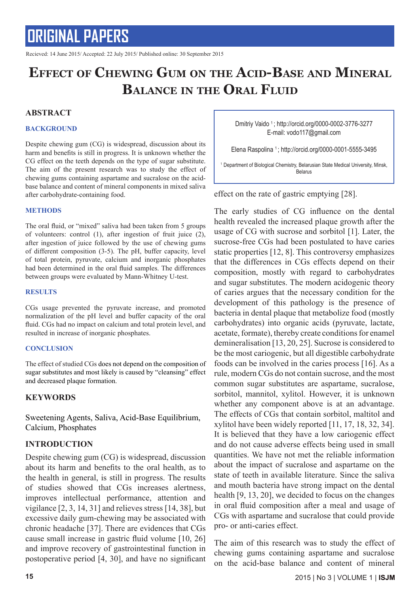Recieved: 14 June 2015/ Accepted: 22 July 2015/ Published online: 30 September 2015

### **Effect of Chewing Gum on the Acid-Base and Mineral Balance in the Oral Fluid**

#### **ABSTRACT**

#### **BACKGROUND**

Despite chewing gum (CG) is widespread, discussion about its harm and benefits is still in progress. It is unknown whether the CG effect on the teeth depends on the type of sugar substitute. The aim of the present research was to study the effect of chewing gums containing aspartame and sucralose on the acidbase balance and content of mineral components in mixed saliva after carbohydrate-containing food.

#### **METHODS**

The oral fluid, or "mixed" saliva had been taken from 5 groups of volunteers: control (1), after ingestion of fruit juice (2), after ingestion of juice followed by the use of chewing gums of different composition (3-5). The pH, buffer capacity, level of total protein, pyruvate, calcium and inorganic phosphates had been determined in the oral fluid samples. The differences between groups were evaluated by Mann-Whitney U-test.

#### **RESULTS**

CGs usage prevented the pyruvate increase, and promoted normalization of the pH level and buffer capacity of the oral fluid. CGs had no impact on calcium and total protein level, and resulted in increase of inorganic phosphates.

#### **CONCLUSION**

The effect of studied CGs does not depend on the composition of sugar substitutes and most likely is caused by "cleansing" effect and decreased plaque formation.

#### **KEYWORDS**

Sweetening Agents, Saliva, Acid-Base Equilibrium, Calcium, Phosphates

#### **INTRODUCTION**

Despite chewing gum (CG) is widespread, discussion about its harm and benefits to the oral health, as to the health in general, is still in progress. The results of studies showed that CGs increases alertness, improves intellectual performance, attention and vigilance [2, 3, 14, 31] and relieves stress [14, 38], but excessive daily gum-chewing may be associated with chronic headache [37]. There are evidences that CGs cause small increase in gastric fluid volume [10, 26] and improve recovery of gastrointestinal function in postoperative period [4, 30], and have no significant Dmitriy Vaido 1 ; http://orcid.org/0000-0002-3776-3277 E-mail: vodo117@gmail.com

Elena Raspolina 1 ; http://orcid.org/0000-0001-5555-3495

<sup>1</sup> Department of Biological Chemistry, Belarusian State Medical University, Minsk, Belarus

effect on the rate of gastric emptying [28].

The early studies of CG influence on the dental health revealed the increased plaque growth after the usage of CG with sucrose and sorbitol [1]. Later, the sucrose-free CGs had been postulated to have caries static properties [12, 8]. This controversy emphasizes that the differences in CGs effects depend on their composition, mostly with regard to carbohydrates and sugar substitutes. The modern acidogenic theory of caries argues that the necessary condition for the development of this pathology is the presence of bacteria in dental plaque that metabolize food (mostly carbohydrates) into organic acids (pyruvate, lactate, acetate, formate), thereby create conditions for enamel demineralisation [13, 20, 25]. Sucrose is considered to be the most cariogenic, but all digestible carbohydrate foods can be involved in the caries process [16]. As a rule, modern CGs do not contain sucrose, and the most common sugar substitutes are aspartame, sucralose, sorbitol, mannitol, xylitol. However, it is unknown whether any component above is at an advantage. The effects of CGs that contain sorbitol, maltitol and xylitol have been widely reported [11, 17, 18, 32, 34]. It is believed that they have a low cariogenic effect and do not cause adverse effects being used in small quantities. We have not met the reliable information about the impact of sucralose and aspartame on the state of teeth in available literature. Since the saliva and mouth bacteria have strong impact on the dental health [9, 13, 20], we decided to focus on the changes in oral fluid composition after a meal and usage of CGs with aspartame and sucralose that could provide pro- or anti-caries effect.

The aim of this research was to study the effect of chewing gums containing aspartame and sucralose on the acid-base balance and content of mineral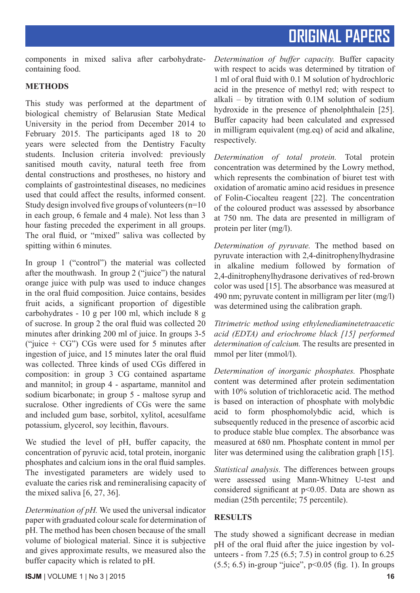components in mixed saliva after carbohydratecontaining food.

### **METHODS**

This study was performed at the department of biological chemistry of Belarusian State Medical University in the period from December 2014 to February 2015. The participants aged 18 to 20 years were selected from the Dentistry Faculty students. Inclusion criteria involved: previously sanitised mouth cavity, natural teeth free from dental constructions and prostheses, no history and complaints of gastrointestinal diseases, no medicines used that could affect the results, informed consent. Study design involved five groups of volunteers (n=10 in each group, 6 female and 4 male). Not less than 3 hour fasting preceded the experiment in all groups. The oral fluid, or "mixed" saliva was collected by spitting within 6 minutes.

In group 1 ("control") the material was collected after the mouthwash. In group 2 ("juice") the natural orange juice with pulp was used to induce changes in the oral fluid composition. Juice contains, besides fruit acids, a significant proportion of digestible carbohydrates - 10 g per 100 ml, which include 8 g of sucrose. In group 2 the oral fluid was collected 20 minutes after drinking 200 ml of juice. In groups 3-5 ("juice  $+ CG$ ") CGs were used for 5 minutes after ingestion of juice, and 15 minutes later the oral fluid was collected. Three kinds of used CGs differed in composition: in group 3 CG contained aspartame and mannitol; in group 4 - aspartame, mannitol and sodium bicarbonate; in group 5 - maltose syrup and sucralose. Other ingredients of CGs were the same and included gum base, sorbitol, xylitol, acesulfame potassium, glycerol, soy lecithin, flavours.

We studied the level of pH, buffer capacity, the concentration of pyruvic acid, total protein, inorganic phosphates and calcium ions in the oral fluid samples. The investigated parameters are widely used to evaluate the caries risk and remineralising capacity of the mixed saliva [6, 27, 36].

*Determination of pH.* We used the universal indicator paper with graduated colour scale for determination of pH. The method has been chosen because of the small volume of biological material. Since it is subjective and gives approximate results, we measured also the buffer capacity which is related to pH.

*Determination of buffer capacity.* Buffer capacity with respect to acids was determined by titration of 1 ml of oral fluid with 0.1 M solution of hydrochloric acid in the presence of methyl red; with respect to alkali – by titration with 0.1M solution of sodium hydroxide in the presence of phenolphthalein [25]. Buffer capacity had been calculated and expressed in milligram equivalent (mg.eq) of acid and alkaline, respectively.

*Determination of total protein.* Total protein concentration was determined by the Lowry method, which represents the combination of biuret test with oxidation of aromatic amino acid residues in presence of Folin-Ciocalteu reagent [22]. The concentration of the coloured product was assessed by absorbance at 750 nm. The data are presented in milligram of protein per liter (mg/l).

*Determination of pyruvate.* The method based on pyruvate interaction with 2,4-dinitrophenylhydrasine in alkaline medium followed by formation of 2,4-dinitrophenylhydrasone derivatives of red-brown color was used [15]. The absorbance was measured at 490 nm; pyruvate content in milligram per liter (mg/l) was determined using the calibration graph.

*Titrimetric method using ethylenediaminetetraacetic acid (EDTA) and eriochrome black [15] performed determination of calcium.* The results are presented in mmol per liter (mmol/l).

*Determination of inorganic phosphates.* Phosphate content was determined after protein sedimentation with 10% solution of trichloracetic acid. The method is based on interaction of phosphate with molybdic acid to form phosphomolybdic acid, which is subsequently reduced in the presence of ascorbic acid to produce stable blue complex. The absorbance was measured at 680 nm. Phosphate content in mmol per liter was determined using the calibration graph [15].

*Statistical analysis.* The differences between groups were assessed using Mann-Whitney U-test and considered significant at p<0.05. Data are shown as median (25th percentile; 75 percentile).

### **RESULTS**

The study showed a significant decrease in median pH of the oral fluid after the juice ingestion by volunteers - from  $7.25$  (6.5;  $7.5$ ) in control group to 6.25  $(5.5; 6.5)$  in-group "juice",  $p<0.05$  (fig. 1). In groups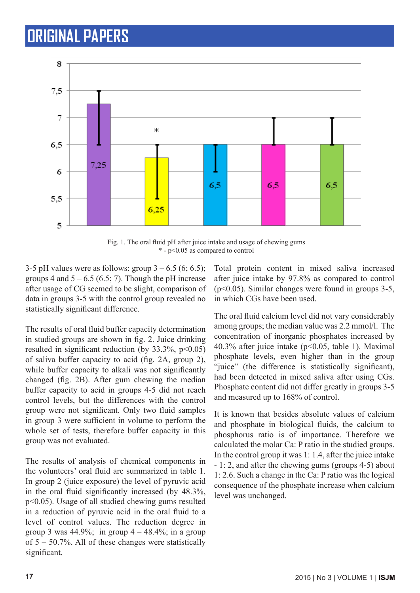

Fig. 1. The oral fluid pH after juice intake and usage of chewing gums \* - p<0.05 as compared to control

3-5 pH values were as follows: group  $3 - 6.5$  (6; 6.5); groups 4 and  $5 - 6.5$  (6.5; 7). Though the pH increase after usage of CG seemed to be slight, comparison of data in groups 3-5 with the control group revealed no statistically significant difference.

The results of oral fluid buffer capacity determination in studied groups are shown in fig. 2. Juice drinking resulted in significant reduction (by  $33.3\%$ ,  $p<0.05$ ) of saliva buffer capacity to acid (fig. 2A, group 2), while buffer capacity to alkali was not significantly changed (fig. 2B). After gum chewing the median buffer capacity to acid in groups 4-5 did not reach control levels, but the differences with the control group were not significant. Only two fluid samples in group 3 were sufficient in volume to perform the whole set of tests, therefore buffer capacity in this group was not evaluated.

The results of analysis of chemical components in the volunteers' oral fluid are summarized in table 1. In group 2 (juice exposure) the level of pyruvic acid in the oral fluid significantly increased (by 48.3%, p<0.05). Usage of all studied chewing gums resulted in a reduction of pyruvic acid in the oral fluid to a level of control values. The reduction degree in group 3 was  $44.9\%$ ; in group  $4 - 48.4\%$ ; in a group of 5 – 50.7%. All of these changes were statistically significant.

Total protein content in mixed saliva increased after juice intake by 97.8% as compared to control (p<0.05). Similar changes were found in groups 3-5, in which CGs have been used.

The oral fluid calcium level did not vary considerably among groups; the median value was 2.2 mmol/l. The concentration of inorganic phosphates increased by 40.3% after juice intake (p<0.05, table 1). Maximal phosphate levels, even higher than in the group "juice" (the difference is statistically significant), had been detected in mixed saliva after using CGs. Phosphate content did not differ greatly in groups 3-5 and measured up to 168% of control.

It is known that besides absolute values of calcium and phosphate in biological fluids, the calcium to phosphorus ratio is of importance. Therefore we calculated the molar Ca: P ratio in the studied groups. In the control group it was 1: 1.4, after the juice intake - 1: 2, and after the chewing gums (groups 4-5) about 1: 2.6. Such a change in the Ca: P ratio was the logical consequence of the phosphate increase when calcium level was unchanged.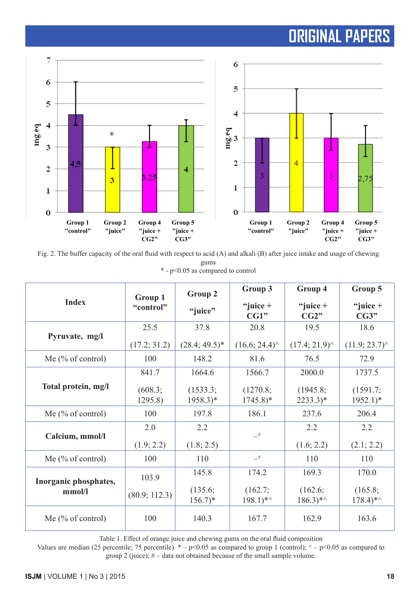

Fig. 2. The buffer capacity of the oral fluid with respect to acid (A) and alkali (B) after juice intake and usage of chewing gums \* - p<0.05 as compared to control

| <b>Index</b>                    | Group 1<br>"control" | Group 2                         | Group 3                           | Group 4                         | Group 5                           |
|---------------------------------|----------------------|---------------------------------|-----------------------------------|---------------------------------|-----------------------------------|
|                                 |                      | "juice"                         | "juice $+$<br>CG1"                | "juice $+$<br>CG2"              | "juice $+$<br>CG3"                |
| Pyruvate, mg/l                  | 25.5                 | 37.8                            | 20.8                              | 19.5                            | 18.6                              |
|                                 | (17.2; 31.2)         | $(28.4; 49.5)^*$                | $(16.6; 24.4)^{\wedge}$           | (17.4; 21.9)                    | (11.9; 23.7)                      |
| Me $(\%$ of control)            | 100                  | 148.2                           | 81.6                              | 76.5                            | 72.9                              |
|                                 | 841.7                | 1664.6                          | 1566.7                            | 2000.0                          | 1737.5                            |
| Total protein, mg/l             | (608.3;<br>1295.8    | (1533.3;<br>$1958.3)*$          | (1270.8;<br>$1745.8$ <sup>*</sup> | (1945.8)<br>$2233.3)*$          | (1591.7;<br>$1952.1$ <sup>*</sup> |
| Me $(\%$ of control)            | 100                  | 197.8                           | 186.1                             | 237.6                           | 206.4                             |
| Calcium, mmol/l                 | 2.0                  | 2.2                             | $-$ #                             | 2.2                             | 2.2                               |
|                                 | (1.9; 2.2)           | (1.8; 2.5)                      |                                   | (1.6; 2.2)                      | (2.1; 2.2)                        |
| Me $(\%$ of control)            | 100                  | 110                             | $-$ #                             | 110                             | 110                               |
| Inorganic phosphates,<br>mmol/l | 103.9                | 145.8                           | 174.2                             | 169.3                           | 170.0                             |
|                                 | (80.9; 112.3)        | (135.6;<br>$156.7$ <sup>*</sup> | (162.7;<br>$198.1$ <sup>*</sup>   | (162.6;<br>$186.3$ <sup>*</sup> | (165.8;<br>$178.4$ <sup>*</sup>   |
| Me $(\%$ of control)            | 100                  | 140.3                           | 167.7                             | 162.9                           | 163.6                             |

Table 1. Effect of orange juice and chewing gums on the oral fluid composition

Values are median (25 percentile; 75 percentile).  $* - p < 0.05$  as compared to group 1 (control);  $\land -p < 0.05$  as compared to group 2 (juice); # – data not obtained because of the small sample volume.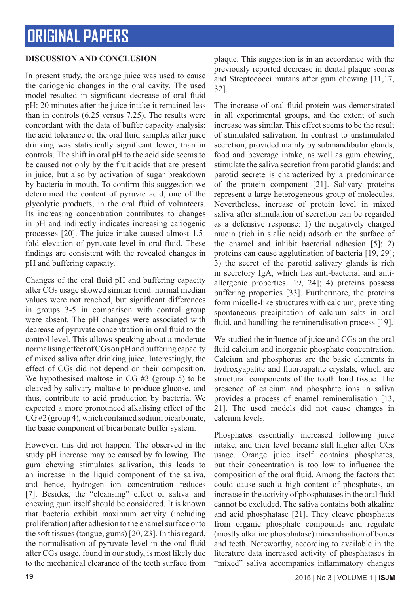### **DISCUSSION AND CONCLUSION**

In present study, the orange juice was used to cause the cariogenic changes in the oral cavity. The used model resulted in significant decrease of oral fluid pH: 20 minutes after the juice intake it remained less than in controls (6.25 versus 7.25). The results were concordant with the data of buffer capacity analysis: the acid tolerance of the oral fluid samples after juice drinking was statistically significant lower, than in controls. The shift in oral pH to the acid side seems to be caused not only by the fruit acids that are present in juice, but also by activation of sugar breakdown by bacteria in mouth. To confirm this suggestion we determined the content of pyruvic acid, one of the glycolytic products, in the oral fluid of volunteers. Its increasing concentration contributes to changes in pH and indirectly indicates increasing cariogenic processes [20]. The juice intake caused almost 1.5 fold elevation of pyruvate level in oral fluid. These findings are consistent with the revealed changes in pH and buffering capacity.

Changes of the oral fluid pH and buffering capacity after CGs usage showed similar trend: normal median values were not reached, but significant differences in groups 3-5 in comparison with control group were absent. The pH changes were associated with decrease of pyruvate concentration in oral fluid to the control level. This allows speaking about a moderate normalising effect of CGs on pH and buffering capacity of mixed saliva after drinking juice. Interestingly, the effect of CGs did not depend on their composition. We hypothesised maltose in CG #3 (group 5) to be cleaved by salivary maltase to produce glucose, and thus, contribute to acid production by bacteria. We expected a more pronounced alkalising effect of the CG #2 (group 4), which contained sodium bicarbonate, the basic component of bicarbonate buffer system.

However, this did not happen. The observed in the study pH increase may be caused by following. The gum chewing stimulates salivation, this leads to an increase in the liquid component of the saliva, and hence, hydrogen ion concentration reduces [7]. Besides, the "cleansing" effect of saliva and chewing gum itself should be considered. It is known that bacteria exhibit maximum activity (including proliferation) after adhesion to the enamel surface or to the soft tissues (tongue, gums) [20, 23]. In this regard, the normalisation of pyruvate level in the oral fluid after CGs usage, found in our study, is most likely due to the mechanical clearance of the teeth surface from

plaque. This suggestion is in an accordance with the previously reported decrease in dental plaque scores and Streptococci mutans after gum chewing [11,17, 32].

The increase of oral fluid protein was demonstrated in all experimental groups, and the extent of such increase was similar. This effect seems to be the result of stimulated salivation. In contrast to unstimulated secretion, provided mainly by submandibular glands, food and beverage intake, as well as gum chewing, stimulate the saliva secretion from parotid glands; and parotid secrete is characterized by a predominance of the protein component [21]. Salivary proteins represent a large heterogeneous group of molecules. Nevertheless, increase of protein level in mixed saliva after stimulation of secretion can be regarded as a defensive response: 1) the negatively charged mucin (rich in sialic acid) adsorb on the surface of the enamel and inhibit bacterial adhesion [5]; 2) proteins can cause agglutination of bacteria [19, 29]; 3) the secret of the parotid salivary glands is rich in secretory IgA, which has anti-bacterial and antiallergenic properties [19, 24]; 4) proteins possess buffering properties [33]. Furthermore, the proteins form micelle-like structures with calcium, preventing spontaneous precipitation of calcium salts in oral fluid, and handling the remineralisation process [19].

We studied the influence of juice and CGs on the oral fluid calcium and inorganic phosphate concentration. Calcium and phosphorus are the basic elements in hydroxyapatite and fluoroapatite crystals, which are structural components of the tooth hard tissue. The presence of calcium and phosphate ions in saliva provides a process of enamel remineralisation [13, 21]. The used models did not cause changes in calcium levels.

Phosphates essentially increased following juice intake, and their level became still higher after CGs usage. Orange juice itself contains phosphates, but their concentration is too low to influence the composition of the oral fluid. Among the factors that could cause such a high content of phosphates, an increase in the activity of phosphatases in the oral fluid cannot be excluded. The saliva contains both alkaline and acid phosphatase [21]. They cleave phosphates from organic phosphate compounds and regulate (mostly alkaline phosphatase) mineralisation of bones and teeth. Noteworthy, according to available in the literature data increased activity of phosphatases in "mixed" saliva accompanies inflammatory changes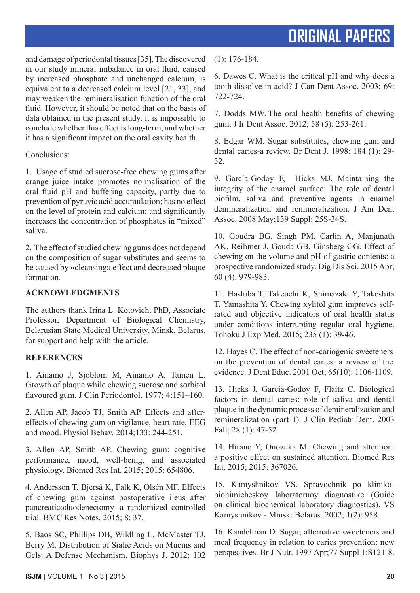and damage of periodontal tissues [35]. The discovered in our study mineral imbalance in oral fluid, caused by increased phosphate and unchanged calcium, is equivalent to a decreased calcium level [21, 33], and may weaken the remineralisation function of the oral fluid. However, it should be noted that on the basis of data obtained in the present study, it is impossible to conclude whether this effect is long-term, and whether it has a significant impact on the oral cavity health.

Conclusions:

1. Usage of studied sucrose-free chewing gums after orange juice intake promotes normalisation of the oral fluid pH and buffering capacity, partly due to prevention of pyruvic acid accumulation; has no effect on the level of protein and calcium; and significantly increases the concentration of phosphates in "mixed" saliva.

2. The effect of studied chewing gums does not depend on the composition of sugar substitutes and seems to be caused by «cleansing» effect and decreased plaque formation.

### **ACKNOWLEDGMENTS**

The authors thank Irina L. Kotovich, PhD, Associate Professor, Department of Biological Chemistry, Belarusian State Medical University, Minsk, Belarus, for support and help with the article.

### **REFERENCES**

1. Ainamo J, Sjoblom M, Ainamo A, Tainen L. Growth of plaque while chewing sucrose and sorbitol flavoured gum. J Clin Periodontol. 1977; 4:151-160.

2. Allen AP, Jacob TJ, Smith AP. Effects and aftereffects of chewing gum on vigilance, heart rate, EEG and mood. Physiol Behav. 2014;133: 244-251.

3. Allen AP, Smith AP. Chewing gum: cognitive performance, mood, well-being, and associated physiology. Biomed Res Int. 2015; 2015: 654806.

4. Andersson T, Bjerså K, Falk K, Olsén MF. Effects of chewing gum against postoperative ileus after pancreaticoduodenectomy--a randomized controlled trial. BMC Res Notes. 2015; 8: 37.

5. Baos SC, Phillips DB, Wildling L, McMaster TJ, Berry M. Distribution of Sialic Acids on Mucins and Gels: A Defense Mechanism. Biophys J. 2012; 102

(1): 176-184.

6. Dawes C. What is the critical pH and why does a tooth dissolve in acid? J Can Dent Assoc. 2003; 69: 722-724.

7. Dodds MW. The oral health benefits of chewing gum. J Ir Dent Assoc. 2012; 58 (5): 253-261.

8. Edgar WM. Sugar substitutes, chewing gum and dental caries-a review. Br Dent J. 1998; 184 (1): 29- 32.

9. García-Godoy F, Hicks MJ. Maintaining the integrity of the enamel surface: The role of dental biofilm, saliva and preventive agents in enamel demineralization and remineralization. J Am Dent Assoc. 2008 May;139 Suppl: 25S-34S.

10. Goudra BG, Singh PM, Carlin A, Manjunath AK, Reihmer J, Gouda GB, Ginsberg GG. Effect of chewing on the volume and pH of gastric contents: a prospective randomized study. Dig Dis Sci. 2015 Apr; 60 (4): 979-983.

11. Hashiba T, Takeuchi K, Shimazaki Y, Takeshita T, Yamashita Y. Chewing xylitol gum improves selfrated and objective indicators of oral health status under conditions interrupting regular oral hygiene. Tohoku J Exp Med. 2015; 235 (1): 39-46.

12. Hayes C. The effect of non-cariogenic sweeteners on the prevention of dental caries: a review of the evidence. J Dent Educ. 2001 Oct; 65(10): 1106-1109.

13. Hicks J, Garcia-Godoy F, Flaitz C. Biological factors in dental caries: role of saliva and dental plaque in the dynamic process of demineralization and remineralization (part 1). J Clin Pediatr Dent. 2003 Fall; 28 (1): 47-52.

14. Hirano Y, Onozuka M. Chewing and attention: a positive effect on sustained attention. Biomed Res Int. 2015; 2015: 367026.

15. Kamyshnikov VS. Spravochnik po klinikobiohimicheskoy laboratornoy diagnostike (Guide on clinical biochemical laboratory diagnostics). VS Kamyshnikov - Minsk: Belarus. 2002; 1(2): 958.

16. Kandelman D. Sugar, alternative sweeteners and meal frequency in relation to caries prevention: new perspectives. Br J Nutr. 1997 Apr;77 Suppl 1:S121-8.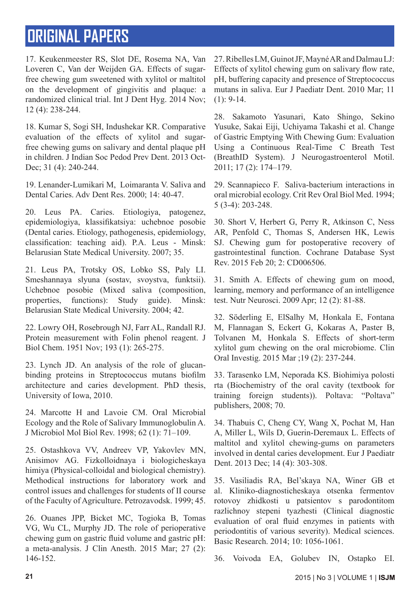17. Keukenmeester RS, Slot DE, Rosema NA, Van Loveren C, Van der Weijden GA. Effects of sugarfree chewing gum sweetened with xylitol or maltitol on the development of gingivitis and plaque: a randomized clinical trial. Int J Dent Hyg. 2014 Nov; 12 (4): 238-244.

18. Kumar S, Sogi SH, Indushekar KR. Comparative evaluation of the effects of xylitol and sugarfree chewing gums on salivary and dental plaque pH in children. J Indian Soc Pedod Prev Dent. 2013 Oct-Dec: 31 (4): 240-244.

19. Lenander-Lumikari M, Loimaranta V. Saliva and Dental Caries. Adv Dent Res. 2000; 14: 40-47.

20. Leus PA. Caries. Etiologiya, patogenez, epidemiologiya, klassifikatsiya: uchebnoe posobie (Dental caries. Etiology, pathogenesis, epidemiology, classification: teaching aid). P.A. Leus - Minsk: Belarusian State Medical University. 2007; 35.

21. Leus PA, Trotsky OS, Lobko SS, Paly LI. Smeshannaya slyuna (sostav, svoystva, funktsii). Uchebnoe posobie (Mixed saliva (composition, properties, functions): Study guide). Minsk: Belarusian State Medical University. 2004; 42.

22. Lowry OH, Rosebrough NJ, Farr AL, Randall RJ. Protein measurement with Folin phenol reagent. J Biol Chem. 1951 Nov; 193 (1): 265-275.

23. Lynch JD. An analysis of the role of glucanbinding proteins in Streptococcus mutans biofilm architecture and caries development. PhD thesis, University of Iowa, 2010.

24. Marcotte H and Lavoie CM. Oral Microbial Ecology and the Role of Salivary Immunoglobulin A. J Microbiol Mol Biol Rev. 1998; 62 (1): 71–109.

25. Ostashkova VV, Andreev VP, Yakovlev MN, Anisimov AG. Fizkolloidnaya i biologicheskaya himiya (Physical-colloidal and biological chemistry). Methodical instructions for laboratory work and control issues and challenges for students of II course of the Faculty of Agriculture. Petrozavodsk. 1999; 45.

26. Ouanes JPP, Bicket MC, Togioka B, Tomas VG, Wu CL, Murphy JD. The role of perioperative chewing gum on gastric fluid volume and gastric pH: a meta-analysis. J Clin Anesth. 2015 Mar; 27 (2): 146-152.

27. Ribelles LM, Guinot JF, Mayné AR and Dalmau LJ: Effects of xylitol chewing gum on salivary flow rate, pH, buffering capacity and presence of Streptococcus mutans in saliva. Eur J Paediatr Dent. 2010 Mar; 11  $(1): 9-14.$ 

28. Sakamoto Yasunari, Kato Shingo, Sekino Yusuke, Sakai Eiji, Uchiyama Takashi et al. Change of Gastric Emptying With Chewing Gum: Evaluation Using a Continuous Real-Time C Breath Test (BreathID System). J Neurogastroenterol Motil. 2011; 17 (2): 174–179.

29. Scannapieco F. Saliva-bacterium interactions in oral microbial ecology. Crit Rev Oral Biol Med. 1994; 5 (3-4): 203-248.

30. Short V, Herbert G, Perry R, Atkinson C, Ness AR, Penfold C, Thomas S, Andersen HK, Lewis SJ. Chewing gum for postoperative recovery of gastrointestinal function. Cochrane Database Syst Rev. 2015 Feb 20; 2: CD006506.

31. Smith A. Effects of chewing gum on mood, learning, memory and performance of an intelligence test. Nutr Neurosci. 2009 Apr; 12 (2): 81-88.

32. Söderling E, ElSalhy M, Honkala E, Fontana M, Flannagan S, Eckert G, Kokaras A, Paster B, Tolvanen M, Honkala S. Effects of short-term xylitol gum chewing on the oral microbiome. Clin Oral Investig. 2015 Mar ;19 (2): 237-244.

33. Tarasenko LM, Neporada KS. Biohimiya polosti rta (Biochemistry of the oral cavity (textbook for training foreign students)). Poltava: "Poltava" publishers, 2008; 70.

34. Thabuis C, Cheng CY, Wang X, Pochat M, Han A, Miller L, Wils D, Guerin-Deremaux L. Effects of maltitol and xylitol chewing-gums on parameters involved in dental caries development. Eur J Paediatr Dent. 2013 Dec; 14 (4): 303-308.

35. Vasiliadis RA, Bel'skaya NA, Winer GB et al. Kliniko-diagnosticheskaya otsenka fermentov rotovoy zhidkosti u patsientov s parodontitom razlichnoy stepeni tyazhesti (Clinical diagnostic evaluation of oral fluid enzymes in patients with periodontitis of various severity). Medical sciences. Basic Research. 2014; 10: 1056-1061.

36. Voivoda EA, Golubev IN, Ostapko EI.